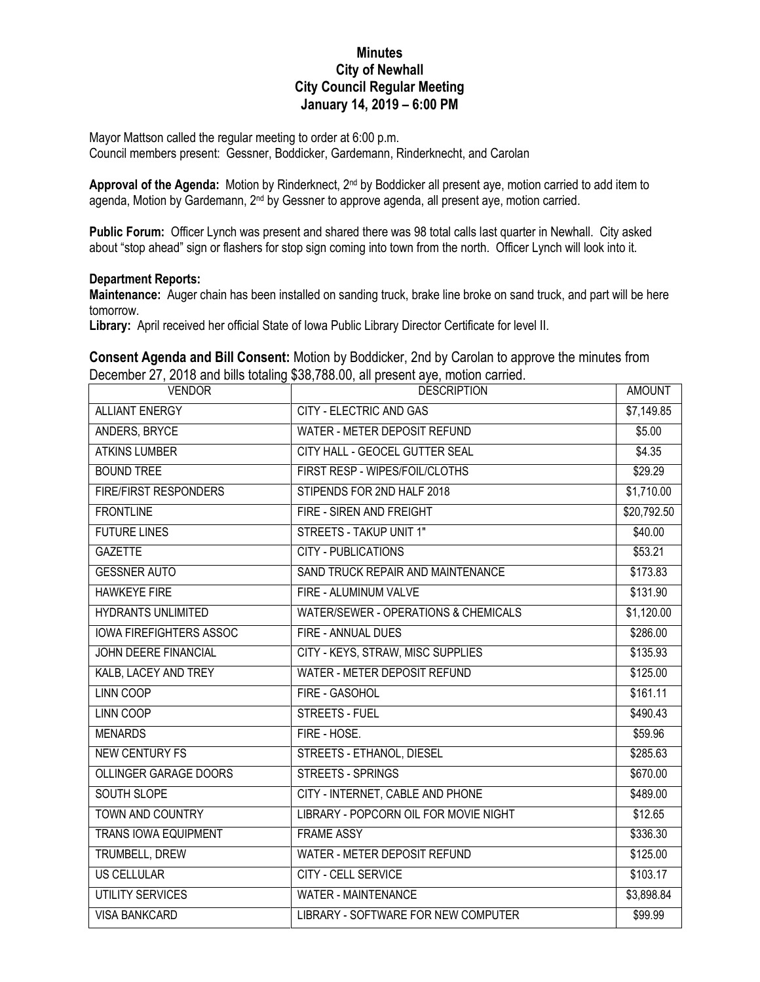## **Minutes City of Newhall City Council Regular Meeting January 14, 2019 – 6:00 PM**

Mayor Mattson called the regular meeting to order at 6:00 p.m.

Council members present: Gessner, Boddicker, Gardemann, Rinderknecht, and Carolan

Approval of the Agenda: Motion by Rinderknect, 2<sup>nd</sup> by Boddicker all present aye, motion carried to add item to agenda, Motion by Gardemann, 2<sup>nd</sup> by Gessner to approve agenda, all present aye, motion carried.

**Public Forum:** Officer Lynch was present and shared there was 98 total calls last quarter in Newhall. City asked about "stop ahead" sign or flashers for stop sign coming into town from the north. Officer Lynch will look into it.

## **Department Reports:**

**Maintenance:** Auger chain has been installed on sanding truck, brake line broke on sand truck, and part will be here tomorrow.

**Library:** April received her official State of Iowa Public Library Director Certificate for level II.

**Consent Agenda and Bill Consent:** Motion by Boddicker, 2nd by Carolan to approve the minutes from December 27, 2018 and bills totaling \$38,788.00, all present aye, motion carried.

| <b>VENDOR</b>                  | <b>DESCRIPTION</b>                    | <b>AMOUNT</b> |
|--------------------------------|---------------------------------------|---------------|
| <b>ALLIANT ENERGY</b>          | <b>CITY - ELECTRIC AND GAS</b>        | \$7,149.85    |
| ANDERS, BRYCE                  | <b>WATER - METER DEPOSIT REFUND</b>   | \$5.00        |
| <b>ATKINS LUMBER</b>           | CITY HALL - GEOCEL GUTTER SEAL        | \$4.35        |
| <b>BOUND TREE</b>              | FIRST RESP - WIPES/FOIL/CLOTHS        | \$29.29       |
| <b>FIRE/FIRST RESPONDERS</b>   | STIPENDS FOR 2ND HALF 2018            | \$1,710.00    |
| <b>FRONTLINE</b>               | FIRE - SIREN AND FREIGHT              | \$20,792.50   |
| <b>FUTURE LINES</b>            | <b>STREETS - TAKUP UNIT 1"</b>        | \$40.00       |
| <b>GAZETTE</b>                 | <b>CITY - PUBLICATIONS</b>            | \$53.21       |
| <b>GESSNER AUTO</b>            | SAND TRUCK REPAIR AND MAINTENANCE     | \$173.83      |
| <b>HAWKEYE FIRE</b>            | FIRE - ALUMINUM VALVE                 | \$131.90      |
| <b>HYDRANTS UNLIMITED</b>      | WATER/SEWER - OPERATIONS & CHEMICALS  | \$1,120.00    |
| <b>IOWA FIREFIGHTERS ASSOC</b> | FIRE - ANNUAL DUES                    | \$286.00      |
| <b>JOHN DEERE FINANCIAL</b>    | CITY - KEYS, STRAW, MISC SUPPLIES     | \$135.93      |
| KALB, LACEY AND TREY           | <b>WATER - METER DEPOSIT REFUND</b>   | \$125.00      |
| <b>LINN COOP</b>               | FIRE - GASOHOL                        | \$161.11      |
| LINN COOP                      | <b>STREETS - FUEL</b>                 | \$490.43      |
| <b>MENARDS</b>                 | FIRE - HOSE.                          | \$59.96       |
| <b>NEW CENTURY FS</b>          | STREETS - ETHANOL, DIESEL             | \$285.63      |
| OLLINGER GARAGE DOORS          | <b>STREETS - SPRINGS</b>              | \$670.00      |
| SOUTH SLOPE                    | CITY - INTERNET, CABLE AND PHONE      | \$489.00      |
| <b>TOWN AND COUNTRY</b>        | LIBRARY - POPCORN OIL FOR MOVIE NIGHT | \$12.65       |
| <b>TRANS IOWA EQUIPMENT</b>    | <b>FRAME ASSY</b>                     | \$336.30      |
| <b>TRUMBELL, DREW</b>          | WATER - METER DEPOSIT REFUND          | \$125.00      |
| <b>US CELLULAR</b>             | <b>CITY - CELL SERVICE</b>            | \$103.17      |
| <b>UTILITY SERVICES</b>        | <b>WATER - MAINTENANCE</b>            | \$3,898.84    |
| <b>VISA BANKCARD</b>           | LIBRARY - SOFTWARE FOR NEW COMPUTER   | \$99.99       |